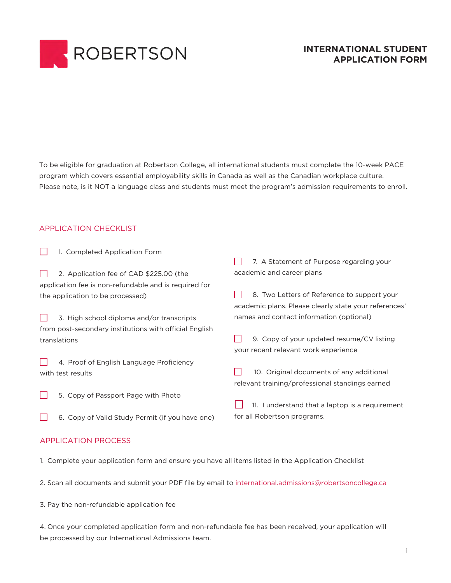

## **INTERNATIONAL STUDENT APPLICATION FORM**

To be eligible for graduation at Robertson College, all international students must complete the 10-week PACE program which covers essential employability skills in Canada as well as the Canadian workplace culture. Please note, is it NOT a language class and students must meet the program's admission requirements to enroll.

#### APPLICATION CHECKLIST

| 1. Completed Application Form                          |                                                       |
|--------------------------------------------------------|-------------------------------------------------------|
|                                                        | 7. A Statement of Purpose regarding your              |
| 2. Application fee of CAD \$225.00 (the                | academic and career plans                             |
| application fee is non-refundable and is required for  |                                                       |
| the application to be processed)                       | 8. Two Letters of Reference to support your           |
|                                                        | academic plans. Please clearly state your references' |
| 3. High school diploma and/or transcripts              | names and contact information (optional)              |
| from post-secondary institutions with official English |                                                       |
| translations                                           | 9. Copy of your updated resume/CV listing             |
|                                                        | your recent relevant work experience                  |
| 4. Proof of English Language Proficiency               |                                                       |
| with test results                                      | 10. Original documents of any additional              |
|                                                        | relevant training/professional standings earned       |
| 5. Copy of Passport Page with Photo                    |                                                       |
|                                                        | 11. I understand that a laptop is a requirement       |
| Copy of Valid Study Permit (if you have one)<br>6.     | for all Robertson programs.                           |
|                                                        |                                                       |
|                                                        |                                                       |

#### APPLICATION PROCESS

- 1. Complete your application form and ensure you have all items listed in the Application Checklist
- 2. Scan all documents and submit your PDF file by email to international.admissions@robertsoncollege.ca

3. Pay the non-refundable application fee

4. Once your completed application form and non-refundable fee has been received, your application will be processed by our International Admissions team.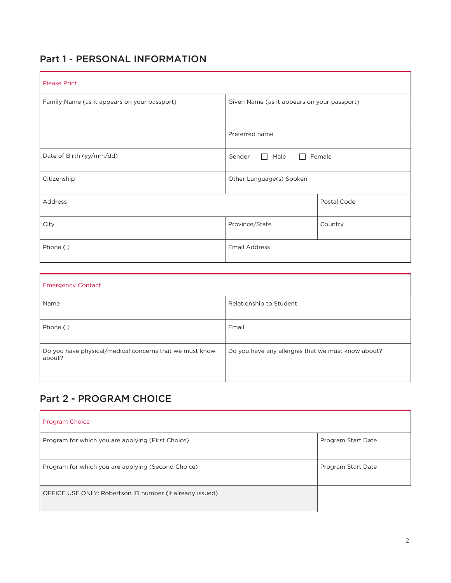# Part 1 - PERSONAL INFORMATION

| <b>Please Print</b>                          |                                                          |             |
|----------------------------------------------|----------------------------------------------------------|-------------|
| Family Name (as it appears on your passport) | Given Name (as it appears on your passport)              |             |
|                                              |                                                          |             |
|                                              | Preferred name                                           |             |
| Date of Birth (yy/mm/dd)                     | Gender<br>Male<br>Female<br>$\mathbf{1}$<br>$\mathbf{L}$ |             |
| Citizenship                                  | Other Language(s) Spoken                                 |             |
| Address                                      |                                                          | Postal Code |
| City                                         | Province/State                                           | Country     |
| Phone ()                                     | <b>Email Address</b>                                     |             |

| <b>Emergency Contact</b>                                          |                                                    |  |
|-------------------------------------------------------------------|----------------------------------------------------|--|
| Name                                                              | Relationship to Student                            |  |
| Phone ()                                                          | Email                                              |  |
| Do you have physical/medical concerns that we must know<br>about? | Do you have any allergies that we must know about? |  |

# Part 2 - PROGRAM CHOICE

| <b>Program Choice</b>                                    |                    |
|----------------------------------------------------------|--------------------|
| Program for which you are applying (First Choice)        | Program Start Date |
| Program for which you are applying (Second Choice)       | Program Start Date |
| OFFICE USE ONLY: Robertson ID number (if already issued) |                    |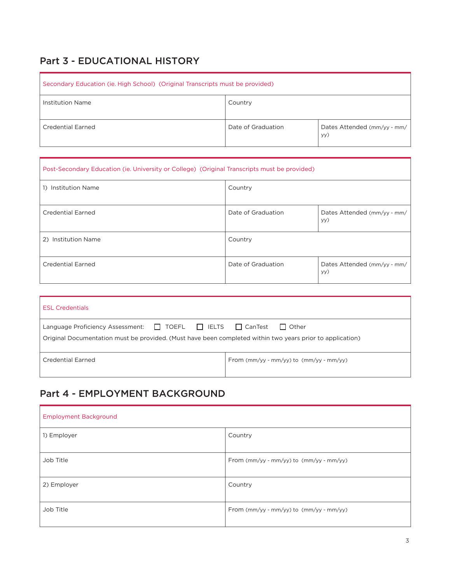# Part 3 - EDUCATIONAL HISTORY

| Secondary Education (ie. High School) (Original Transcripts must be provided) |                    |                                    |
|-------------------------------------------------------------------------------|--------------------|------------------------------------|
| Institution Name                                                              | Country            |                                    |
| Credential Earned                                                             | Date of Graduation | Dates Attended (mm/yy - mm/<br>yy) |

| Post-Secondary Education (ie. University or College) (Original Transcripts must be provided) |                    |                                    |
|----------------------------------------------------------------------------------------------|--------------------|------------------------------------|
| 1) Institution Name                                                                          | Country            |                                    |
| <b>Credential Earned</b>                                                                     | Date of Graduation | Dates Attended (mm/yy - mm/<br>yy) |
| 2) Institution Name                                                                          | Country            |                                    |
| Credential Earned                                                                            | Date of Graduation | Dates Attended (mm/yy - mm/<br>yy) |

| <b>ESL Credentials</b>                                                                                                                                                                              |                                                       |  |
|-----------------------------------------------------------------------------------------------------------------------------------------------------------------------------------------------------|-------------------------------------------------------|--|
| Language Proficiency Assessment: $\Box$ TOEFL $\Box$ IELTS $\Box$ CanTest $\Box$ Other<br>Original Documentation must be provided. (Must have been completed within two years prior to application) |                                                       |  |
| Credential Earned                                                                                                                                                                                   | From $\text{mm/yy - mm/yy}$ to $\text{mm/yy - mm/yy}$ |  |

# Part 4 - EMPLOYMENT BACKGROUND

| <b>Employment Background</b> |                                                       |
|------------------------------|-------------------------------------------------------|
| 1) Employer                  | Country                                               |
| Job Title                    | From (mm/yy - mm/yy) to (mm/yy - mm/yy)               |
| 2) Employer                  | Country                                               |
| Job Title                    | From $\text{mm/yy - mm/yy}$ to $\text{mm/yy - mm/yy}$ |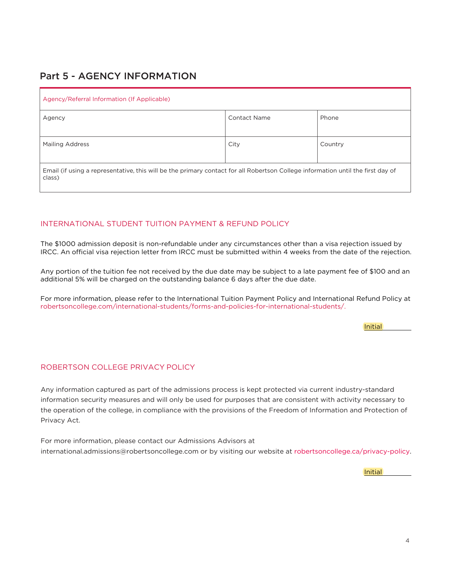# Part 5 - AGENCY INFORMATION

| Agency/Referral Information (If Applicable)                                                                                               |              |         |  |
|-------------------------------------------------------------------------------------------------------------------------------------------|--------------|---------|--|
| Agency                                                                                                                                    | Contact Name | Phone   |  |
| <b>Mailing Address</b>                                                                                                                    | City         | Country |  |
| Email (if using a representative, this will be the primary contact for all Robertson College information until the first day of<br>class) |              |         |  |

### INTERNATIONAL STUDENT TUITION PAYMENT & REFUND POLICY

The \$1000 admission deposit is non-refundable under any circumstances other than a visa rejection issued by IRCC. An official visa rejection letter from IRCC must be submitted within 4 weeks from the date of the rejection.

Any portion of the tuition fee not received by the due date may be subject to a late payment fee of \$100 and an additional 5% will be charged on the outstanding balance 6 days after the due date.

For more information, please refer to the International Tuition Payment Policy and International Refund Policy at robertsoncollege.com/international-students/forms-and-policies-for-international-students/.

**Initial** 

#### ROBERTSON COLLEGE PRIVACY POLICY

Any information captured as part of the admissions process is kept protected via current industry-standard information security measures and will only be used for purposes that are consistent with activity necessary to the operation of the college, in compliance with the provisions of the Freedom of Information and Protection of Privacy Act.

For more information, please contact our Admissions Advisors at international.admissions@robertsoncollege.com or by visiting our website at robertsoncollege.ca/privacy-policy.

Initial